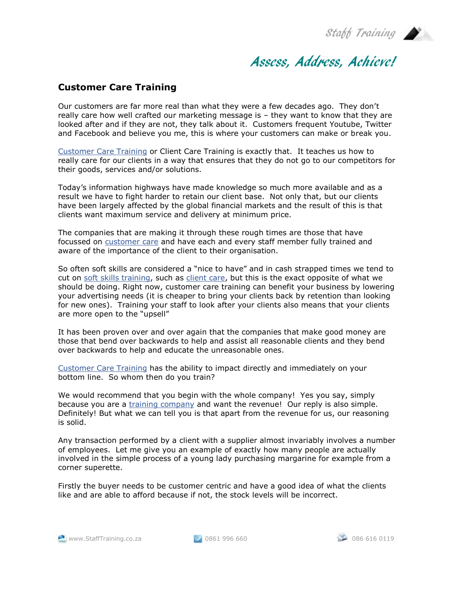Staff Training

## Assess, Address, Achieve!

## **Customer Care Training**

Our customers are far more real than what they were a few decades ago. They don't really care how well crafted our marketing message is – they want to know that they are looked after and if they are not, they talk about it. Customers frequent Youtube, Twitter and Facebook and believe you me, this is where your customers can make or break you.

[Customer Care Training](http://www.stafftraining.co.za/seminarview.php?code=client_serv) or Client Care Training is exactly that. It teaches us how to really care for our clients in a way that ensures that they do not go to our competitors for their goods, services and/or solutions.

Today's information highways have made knowledge so much more available and as a result we have to fight harder to retain our client base. Not only that, but our clients have been largely affected by the global financial markets and the result of this is that clients want maximum service and delivery at minimum price.

The companies that are making it through these rough times are those that have focussed on [customer care](http://www.stafftraining.co.za/seminarview.php?code=client_serv) and have each and every staff member fully trained and aware of the importance of the client to their organisation.

So often soft skills are considered a "nice to have" and in cash strapped times we tend to cut on [soft skills training,](http://www.stafftraining.co.za/) such as [client care,](http://www.stafftraining.co.za/seminarview.php?code=client_serv) but this is the exact opposite of what we should be doing. Right now, customer care training can benefit your business by lowering your advertising needs (it is cheaper to bring your clients back by retention than looking for new ones). Training your staff to look after your clients also means that your clients are more open to the "upsell"

It has been proven over and over again that the companies that make good money are those that bend over backwards to help and assist all reasonable clients and they bend over backwards to help and educate the unreasonable ones.

[Customer Care Training](http://www.stafftraining.co.za/seminarview.php?code=client_serv) has the ability to impact directly and immediately on your bottom line. So whom then do you train?

We would recommend that you begin with the whole company! Yes you say, simply because you are a [training company](http://www.stafftraining.co.za/) and want the revenue! Our reply is also simple. Definitely! But what we can tell you is that apart from the revenue for us, our reasoning is solid.

Any transaction performed by a client with a supplier almost invariably involves a number of employees. Let me give you an example of exactly how many people are actually involved in the simple process of a young lady purchasing margarine for example from a corner superette.

Firstly the buyer needs to be customer centric and have a good idea of what the clients like and are able to afford because if not, the stock levels will be incorrect.